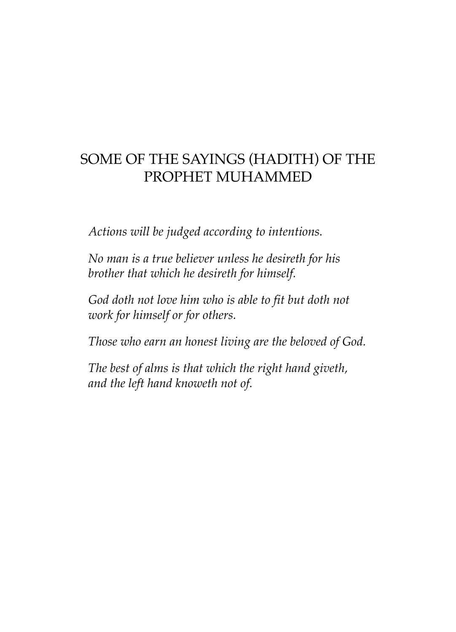## SOME OF THE SAYINGS (HADITH) OF THE PROPHET MUHAMMED

*Actions will be judged according to intentions.*

*No man is a true believer unless he desireth for his brother that which he desireth for himself.*

*God doth not love him who is able to fit but doth not work for himself or for others.*

*Those who earn an honest living are the beloved of God.*

*The best of alms is that which the right hand giveth, and the left hand knoweth not of.*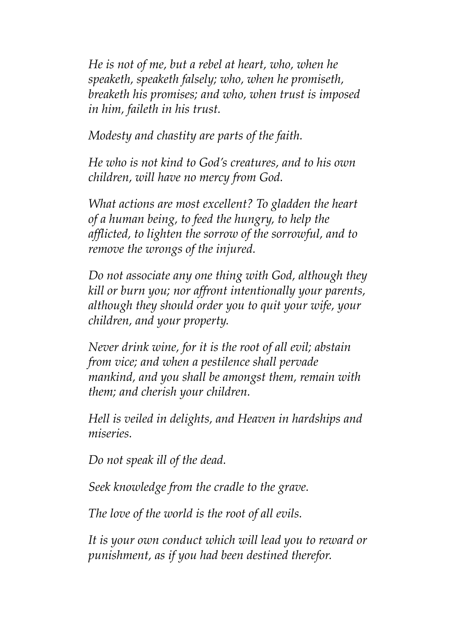*He is not of me, but a rebel at heart, who, when he speaketh, speaketh falsely; who, when he promiseth, breaketh his promises; and who, when trust is imposed in him, faileth in his trust.*

*Modesty and chastity are parts of the faith.*

*He who is not kind to God's creatures, and to his own children, will have no mercy from God.*

*What actions are most excellent? To gladden the heart of a human being, to feed the hungry, to help the afflicted, to lighten the sorrow of the sorrowful, and to remove the wrongs of the injured.*

*Do not associate any one thing with God, although they kill or burn you; nor affront intentionally your parents, although they should order you to quit your wife, your children, and your property.*

*Never drink wine, for it is the root of all evil; abstain from vice; and when a pestilence shall pervade mankind, and you shall be amongst them, remain with them; and cherish your children.*

*Hell is veiled in delights, and Heaven in hardships and miseries.*

*Do not speak ill of the dead.*

*Seek knowledge from the cradle to the grave.*

*The love of the world is the root of all evils.*

*It is your own conduct which will lead you to reward or punishment, as if you had been destined therefor.*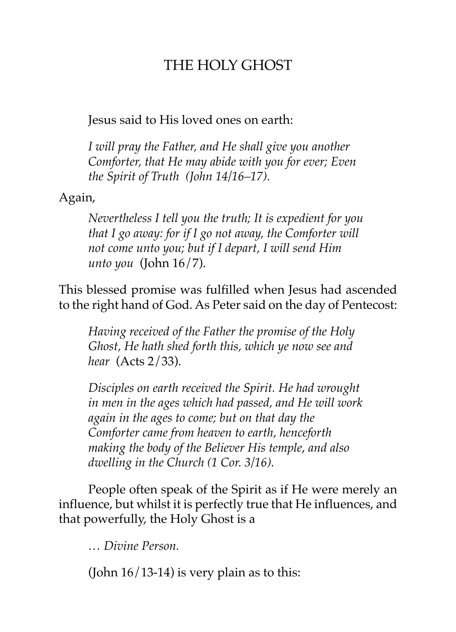## THE HOLY GHOST

Jesus said to His loved ones on earth:

*I will pray the Father, and He shall give you another Comforter, that He may abide with you for ever; Even the Spirit of Truth (John 14/16–17).*

Again,

*Nevertheless I tell you the truth; It is expedient for you that I go away: for if I go not away, the Comforter will not come unto you; but if I depart, I will send Him unto you* (John 16/7).

This blessed promise was fulfilled when Jesus had ascended to the right hand of God. As Peter said on the day of Pentecost:

*Having received of the Father the promise of the Holy Ghost, He hath shed forth this, which ye now see and hear* (Acts 2/33).

*Disciples on earth received the Spirit. He had wrought in men in the ages which had passed, and He will work again in the ages to come; but on that day the Comforter came from heaven to earth, henceforth making the body of the Believer His temple*, *and also dwelling in the Church (1 Cor. 3/16).*

People often speak of the Spirit as if He were merely an influence, but whilst it is perfectly true that He influences, and that powerfully, the Holy Ghost is a

*… Divine Person.*

(John  $16/13-14$ ) is very plain as to this: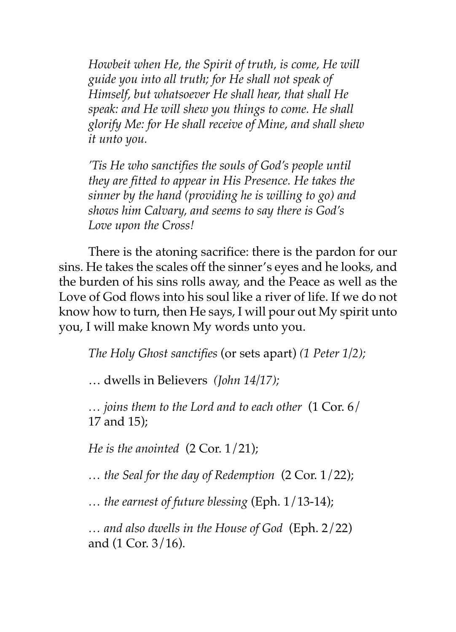*Howbeit when He, the Spirit of truth, is come, He will guide you into all truth; for He shall not speak of Himself, but whatsoever He shall hear, that shall He speak: and He will shew you things to come. He shall glorify Me: for He shall receive of Mine, and shall shew it unto you.*

*'Tis He who sanctifies the souls of God's people until they are fitted to appear in His Presence. He takes the sinner by the hand (providing he is willing to go) and shows him Calvary, and seems to say there is God's Love upon the Cross!*

There is the atoning sacrifice: there is the pardon for our sins. He takes the scales off the sinner's eyes and he looks, and the burden of his sins rolls away, and the Peace as well as the Love of God flows into his soul like a river of life. If we do not know how to turn, then He says, I will pour out My spirit unto you, I will make known My words unto you.

*The Holy Ghost sanctifies* (or sets apart) *(1 Peter 1/2);*

… dwells in Believers *(John 14/17);*

*… joins them to the Lord and to each other* (1 Cor. 6/ 17 and 15);

*He is the anointed* (2 Cor. 1/21);

*… the Seal for the day of Redemption* (2 Cor. 1/22);

*… the earnest of future blessing* (Eph. 1/13-14);

*… and also dwells in the House of God* (Eph. 2/22) and (1 Cor. 3/16).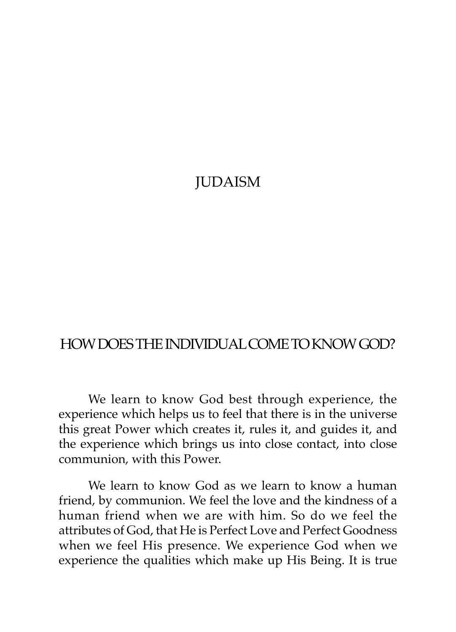### **JUDAISM**

#### HOW DOES THE INDIVIDUAL COME TO KNOW GOD?

We learn to know God best through experience, the experience which helps us to feel that there is in the universe this great Power which creates it, rules it, and guides it, and the experience which brings us into close contact, into close communion, with this Power.

We learn to know God as we learn to know a human friend, by communion. We feel the love and the kindness of a human friend when we are with him. So do we feel the attributes of God, that He is Perfect Love and Perfect Goodness when we feel His presence. We experience God when we experience the qualities which make up His Being. It is true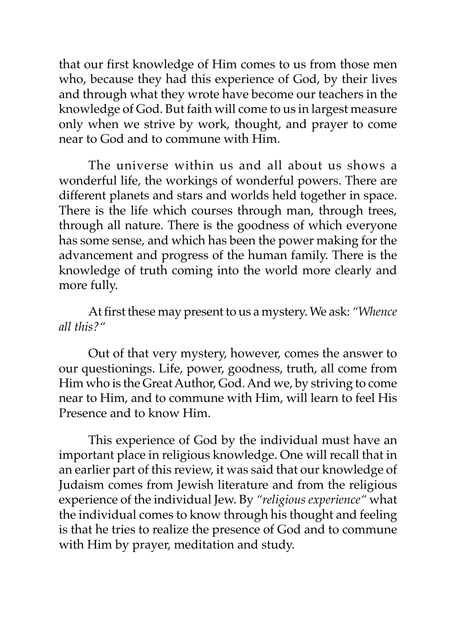that our first knowledge of Him comes to us from those men who, because they had this experience of God, by their lives and through what they wrote have become our teachers in the knowledge of God. But faith will come to us in largest measure only when we strive by work, thought, and prayer to come near to God and to commune with Him.

The universe within us and all about us shows a wonderful life, the workings of wonderful powers. There are different planets and stars and worlds held together in space. There is the life which courses through man, through trees, through all nature. There is the goodness of which everyone has some sense, and which has been the power making for the advancement and progress of the human family. There is the knowledge of truth coming into the world more clearly and more fully.

At first these may present to us a mystery. We ask: *"Whence all this?"*

Out of that very mystery, however, comes the answer to our questionings. Life, power, goodness, truth, all come from Him who is the Great Author, God. And we, by striving to come near to Him, and to commune with Him, will learn to feel His Presence and to know Him.

This experience of God by the individual must have an important place in religious knowledge. One will recall that in an earlier part of this review, it was said that our knowledge of Judaism comes from Jewish literature and from the religious experience of the individual Jew. By *"religious experience"* what the individual comes to know through his thought and feeling is that he tries to realize the presence of God and to commune with Him by prayer, meditation and study.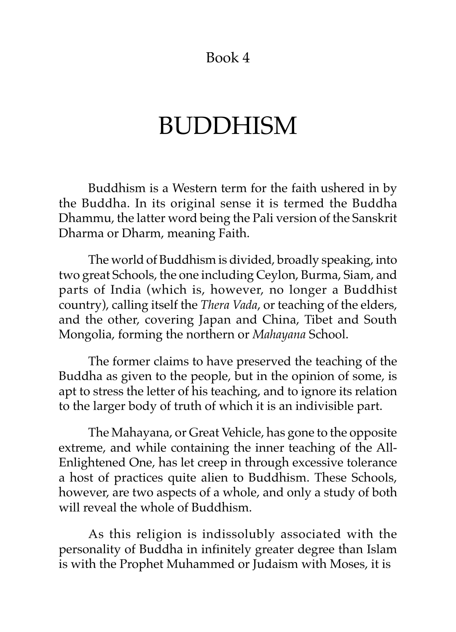Book 4

# BUDDHISM

Buddhism is a Western term for the faith ushered in by the Buddha. In its original sense it is termed the Buddha Dhammu, the latter word being the Pali version of the Sanskrit Dharma or Dharm, meaning Faith.

The world of Buddhism is divided, broadly speaking, into two great Schools, the one including Ceylon, Burma, Siam, and parts of India (which is, however, no longer a Buddhist country), calling itself the *Thera Vada*, or teaching of the elders, and the other, covering Japan and China, Tibet and South Mongolia, forming the northern or *Mahayana* School.

The former claims to have preserved the teaching of the Buddha as given to the people, but in the opinion of some, is apt to stress the letter of his teaching, and to ignore its relation to the larger body of truth of which it is an indivisible part.

The Mahayana, or Great Vehicle, has gone to the opposite extreme, and while containing the inner teaching of the All-Enlightened One, has let creep in through excessive tolerance a host of practices quite alien to Buddhism. These Schools, however, are two aspects of a whole, and only a study of both will reveal the whole of Buddhism.

As this religion is indissolubly associated with the personality of Buddha in infinitely greater degree than Islam is with the Prophet Muhammed or Judaism with Moses, it is